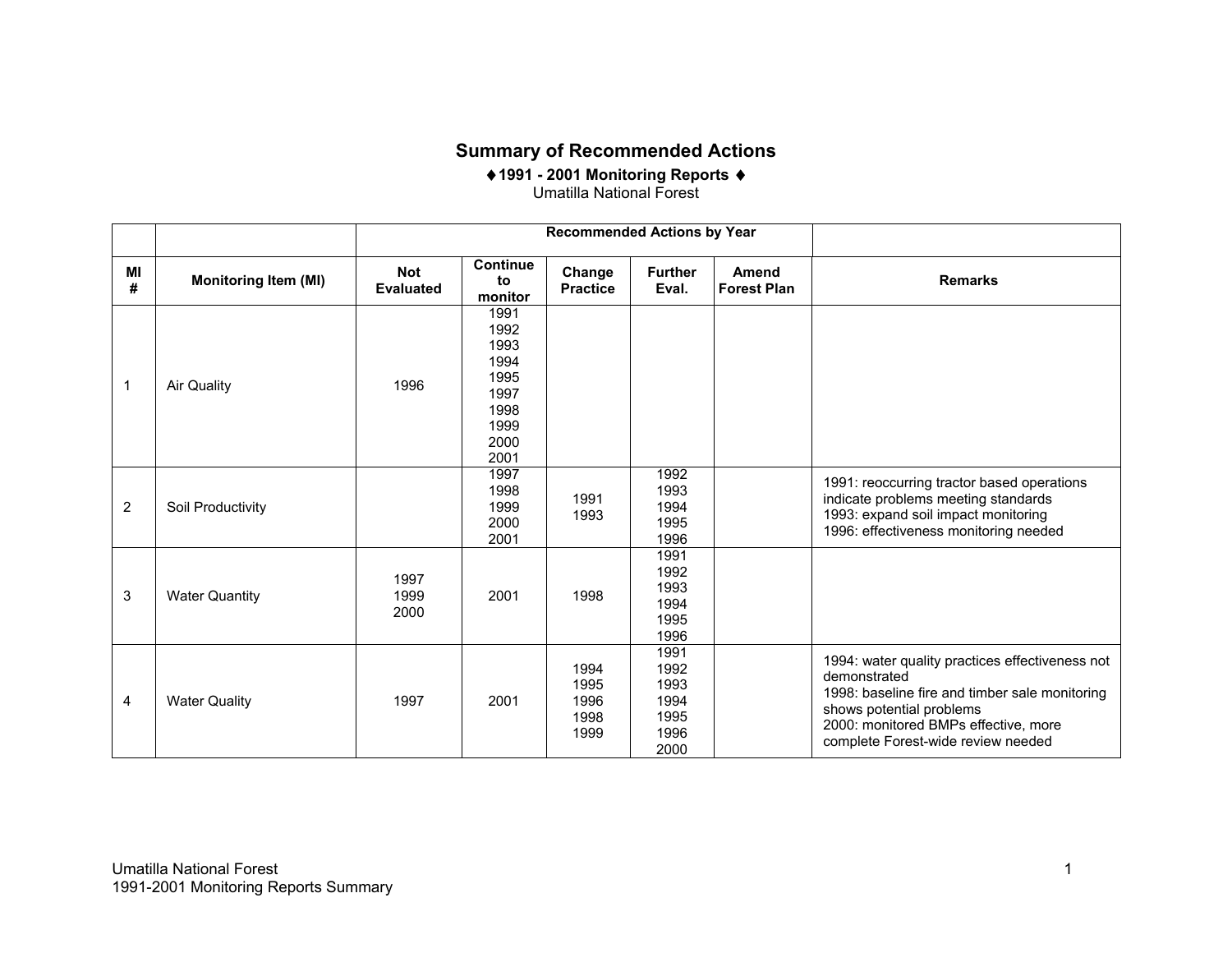## **Summary of Recommended Actions**

♦**1991 - 2001 Monitoring Reports**  ♦ Umatilla National Forest

|                |                             |                                |                                                                              | <b>Recommended Actions by Year</b>   |                                                      |                                    |                                                                                                                                                                                                                             |
|----------------|-----------------------------|--------------------------------|------------------------------------------------------------------------------|--------------------------------------|------------------------------------------------------|------------------------------------|-----------------------------------------------------------------------------------------------------------------------------------------------------------------------------------------------------------------------------|
| MI<br>#        | <b>Monitoring Item (MI)</b> | <b>Not</b><br><b>Evaluated</b> | Continue<br>to<br>monitor                                                    | Change<br><b>Practice</b>            | <b>Further</b><br>Eval.                              | <b>Amend</b><br><b>Forest Plan</b> | <b>Remarks</b>                                                                                                                                                                                                              |
| 1              | <b>Air Quality</b>          | 1996                           | 1991<br>1992<br>1993<br>1994<br>1995<br>1997<br>1998<br>1999<br>2000<br>2001 |                                      |                                                      |                                    |                                                                                                                                                                                                                             |
| $\overline{2}$ | Soil Productivity           |                                | 1997<br>1998<br>1999<br>2000<br>2001                                         | 1991<br>1993                         | 1992<br>1993<br>1994<br>1995<br>1996                 |                                    | 1991: reoccurring tractor based operations<br>indicate problems meeting standards<br>1993: expand soil impact monitoring<br>1996: effectiveness monitoring needed                                                           |
| 3              | <b>Water Quantity</b>       | 1997<br>1999<br>2000           | 2001                                                                         | 1998                                 | 1991<br>1992<br>1993<br>1994<br>1995<br>1996         |                                    |                                                                                                                                                                                                                             |
| 4              | <b>Water Quality</b>        | 1997                           | 2001                                                                         | 1994<br>1995<br>1996<br>1998<br>1999 | 1991<br>1992<br>1993<br>1994<br>1995<br>1996<br>2000 |                                    | 1994: water quality practices effectiveness not<br>demonstrated<br>1998: baseline fire and timber sale monitoring<br>shows potential problems<br>2000: monitored BMPs effective, more<br>complete Forest-wide review needed |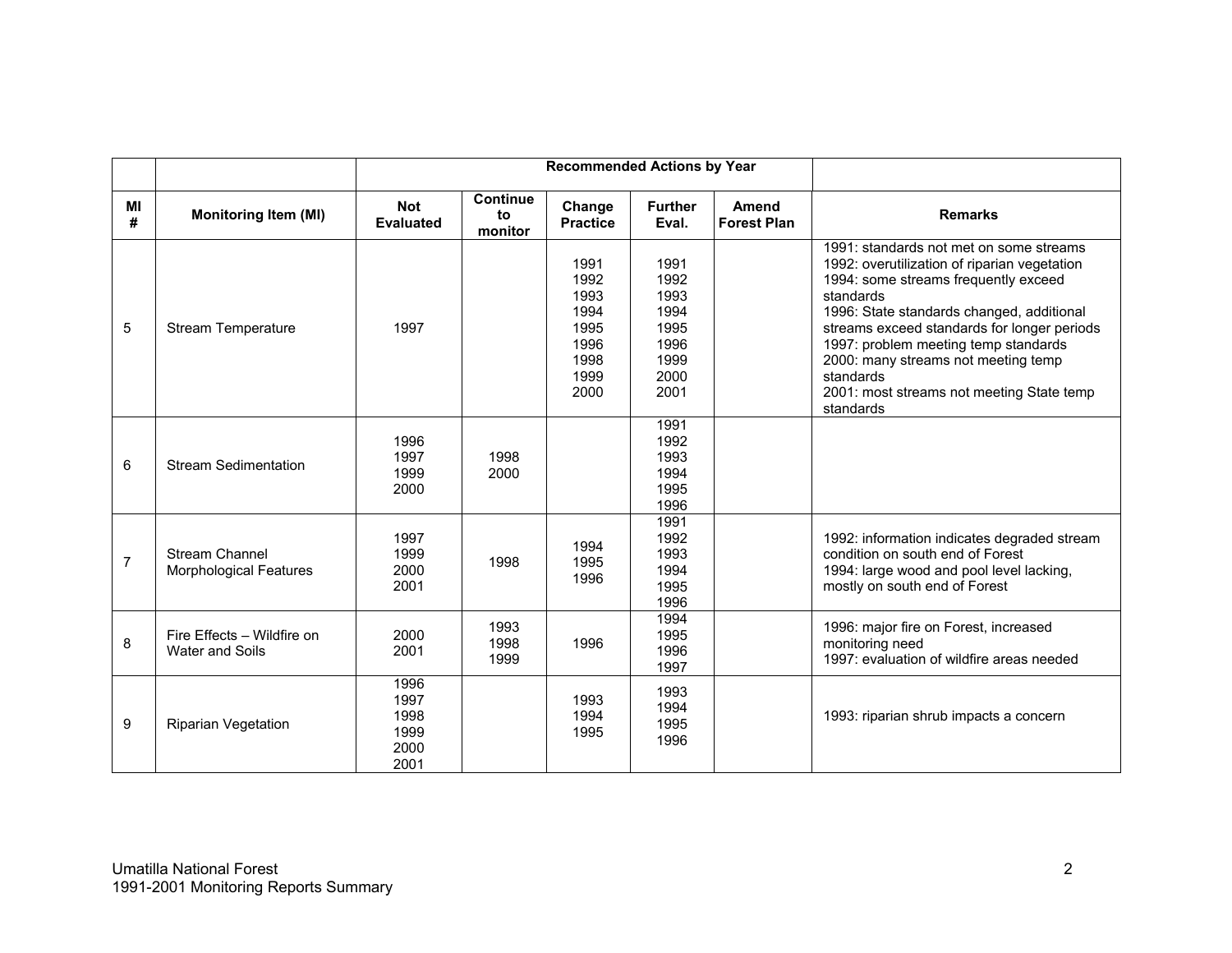|                |                                                      |                                              |                                  | <b>Recommended Actions by Year</b>                                   |                                                                      |                             |                                                                                                                                                                                                                                                                                                                                                                                                |
|----------------|------------------------------------------------------|----------------------------------------------|----------------------------------|----------------------------------------------------------------------|----------------------------------------------------------------------|-----------------------------|------------------------------------------------------------------------------------------------------------------------------------------------------------------------------------------------------------------------------------------------------------------------------------------------------------------------------------------------------------------------------------------------|
| MI<br>#        | <b>Monitoring Item (MI)</b>                          | <b>Not</b><br><b>Evaluated</b>               | <b>Continue</b><br>to<br>monitor | Change<br><b>Practice</b>                                            | <b>Further</b><br>Eval.                                              | Amend<br><b>Forest Plan</b> | <b>Remarks</b>                                                                                                                                                                                                                                                                                                                                                                                 |
| 5              | <b>Stream Temperature</b>                            | 1997                                         |                                  | 1991<br>1992<br>1993<br>1994<br>1995<br>1996<br>1998<br>1999<br>2000 | 1991<br>1992<br>1993<br>1994<br>1995<br>1996<br>1999<br>2000<br>2001 |                             | 1991: standards not met on some streams<br>1992: overutilization of riparian vegetation<br>1994: some streams frequently exceed<br>standards<br>1996: State standards changed, additional<br>streams exceed standards for longer periods<br>1997: problem meeting temp standards<br>2000: many streams not meeting temp<br>standards<br>2001: most streams not meeting State temp<br>standards |
| 6              | <b>Stream Sedimentation</b>                          | 1996<br>1997<br>1999<br>2000                 | 1998<br>2000                     |                                                                      | 1991<br>1992<br>1993<br>1994<br>1995<br>1996                         |                             |                                                                                                                                                                                                                                                                                                                                                                                                |
| $\overline{7}$ | Stream Channel<br><b>Morphological Features</b>      | 1997<br>1999<br>2000<br>2001                 | 1998                             | 1994<br>1995<br>1996                                                 | 1991<br>1992<br>1993<br>1994<br>1995<br>1996                         |                             | 1992: information indicates degraded stream<br>condition on south end of Forest<br>1994: large wood and pool level lacking,<br>mostly on south end of Forest                                                                                                                                                                                                                                   |
| 8              | Fire Effects - Wildfire on<br><b>Water and Soils</b> | 2000<br>2001                                 | 1993<br>1998<br>1999             | 1996                                                                 | 1994<br>1995<br>1996<br>1997                                         |                             | 1996: major fire on Forest, increased<br>monitoring need<br>1997: evaluation of wildfire areas needed                                                                                                                                                                                                                                                                                          |
| 9              | <b>Riparian Vegetation</b>                           | 1996<br>1997<br>1998<br>1999<br>2000<br>2001 |                                  | 1993<br>1994<br>1995                                                 | 1993<br>1994<br>1995<br>1996                                         |                             | 1993: riparian shrub impacts a concern                                                                                                                                                                                                                                                                                                                                                         |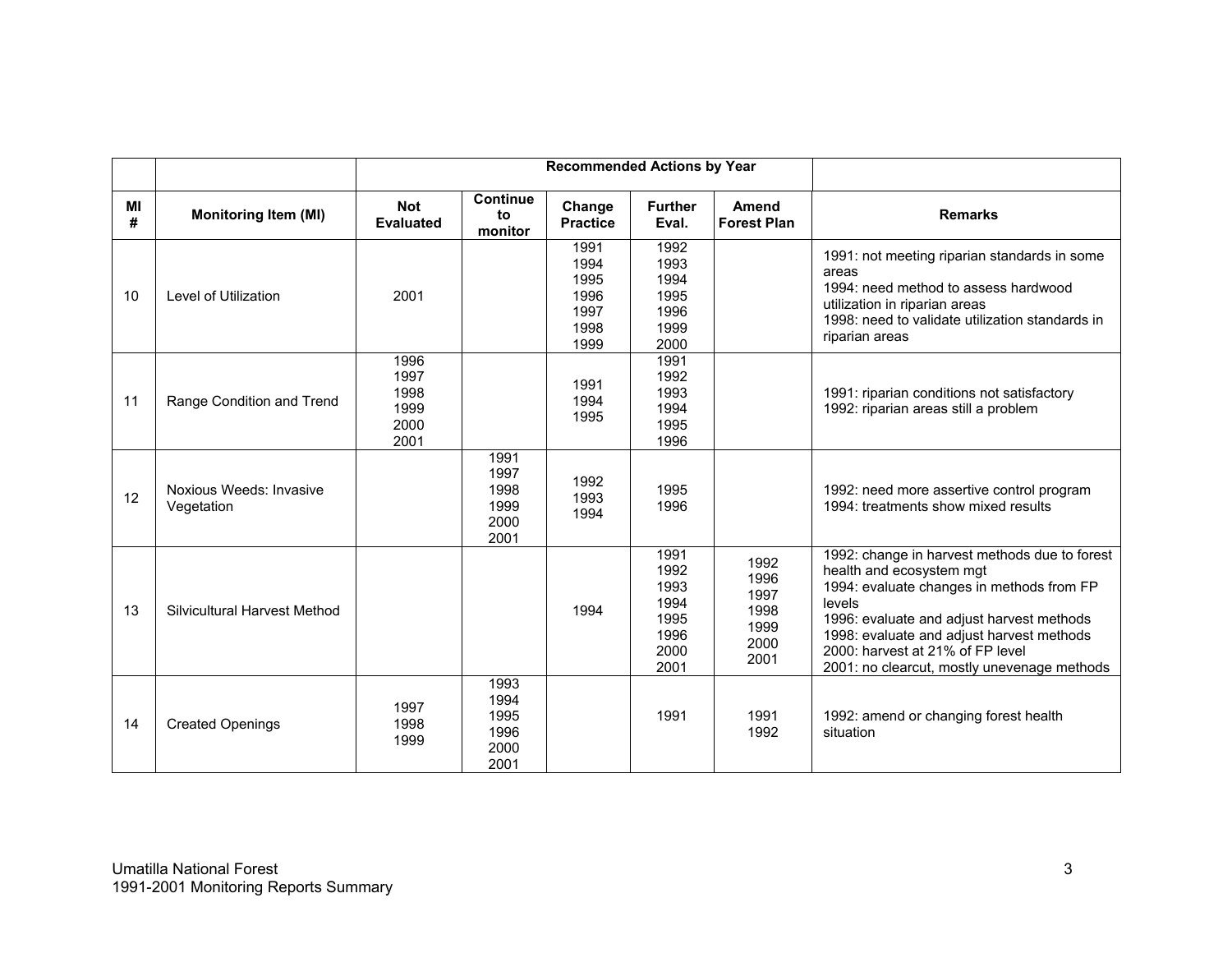|         |                                       |                                              |                                              | <b>Recommended Actions by Year</b>                   |                                                              |                                                      |                                                                                                                                                                                                                                                                                                               |
|---------|---------------------------------------|----------------------------------------------|----------------------------------------------|------------------------------------------------------|--------------------------------------------------------------|------------------------------------------------------|---------------------------------------------------------------------------------------------------------------------------------------------------------------------------------------------------------------------------------------------------------------------------------------------------------------|
| MI<br># | <b>Monitoring Item (MI)</b>           | <b>Not</b><br><b>Evaluated</b>               | <b>Continue</b><br>to<br>monitor             | Change<br><b>Practice</b>                            | <b>Further</b><br>Eval.                                      | Amend<br><b>Forest Plan</b>                          | <b>Remarks</b>                                                                                                                                                                                                                                                                                                |
| 10      | Level of Utilization                  | 2001                                         |                                              | 1991<br>1994<br>1995<br>1996<br>1997<br>1998<br>1999 | 1992<br>1993<br>1994<br>1995<br>1996<br>1999<br>2000         |                                                      | 1991: not meeting riparian standards in some<br>areas<br>1994: need method to assess hardwood<br>utilization in riparian areas<br>1998: need to validate utilization standards in<br>riparian areas                                                                                                           |
| 11      | Range Condition and Trend             | 1996<br>1997<br>1998<br>1999<br>2000<br>2001 |                                              | 1991<br>1994<br>1995                                 | 1991<br>1992<br>1993<br>1994<br>1995<br>1996                 |                                                      | 1991: riparian conditions not satisfactory<br>1992: riparian areas still a problem                                                                                                                                                                                                                            |
| 12      | Noxious Weeds: Invasive<br>Vegetation |                                              | 1991<br>1997<br>1998<br>1999<br>2000<br>2001 | 1992<br>1993<br>1994                                 | 1995<br>1996                                                 |                                                      | 1992: need more assertive control program<br>1994: treatments show mixed results                                                                                                                                                                                                                              |
| 13      | Silvicultural Harvest Method          |                                              |                                              | 1994                                                 | 1991<br>1992<br>1993<br>1994<br>1995<br>1996<br>2000<br>2001 | 1992<br>1996<br>1997<br>1998<br>1999<br>2000<br>2001 | 1992: change in harvest methods due to forest<br>health and ecosystem mgt<br>1994: evaluate changes in methods from FP<br>levels<br>1996: evaluate and adjust harvest methods<br>1998: evaluate and adjust harvest methods<br>2000: harvest at 21% of FP level<br>2001: no clearcut, mostly unevenage methods |
| 14      | <b>Created Openings</b>               | 1997<br>1998<br>1999                         | 1993<br>1994<br>1995<br>1996<br>2000<br>2001 |                                                      | 1991                                                         | 1991<br>1992                                         | 1992: amend or changing forest health<br>situation                                                                                                                                                                                                                                                            |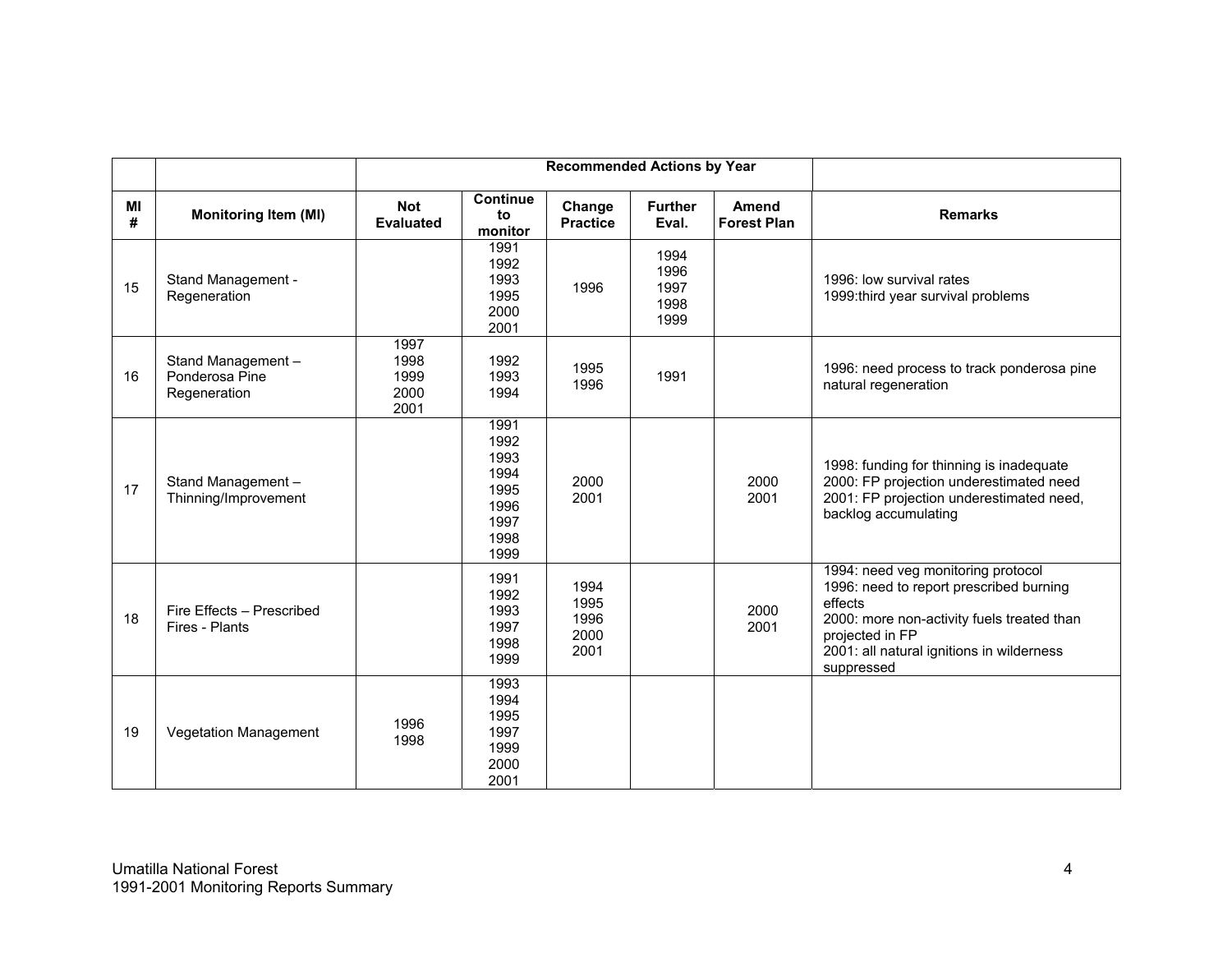|         |                                                      |                                      |                                                                      | <b>Recommended Actions by Year</b>   |                                      |                                    |                                                                                                                                                                                                                      |
|---------|------------------------------------------------------|--------------------------------------|----------------------------------------------------------------------|--------------------------------------|--------------------------------------|------------------------------------|----------------------------------------------------------------------------------------------------------------------------------------------------------------------------------------------------------------------|
| MI<br># | <b>Monitoring Item (MI)</b>                          | <b>Not</b><br><b>Evaluated</b>       | <b>Continue</b><br>to<br>monitor                                     | Change<br><b>Practice</b>            | <b>Further</b><br>Eval.              | <b>Amend</b><br><b>Forest Plan</b> | <b>Remarks</b>                                                                                                                                                                                                       |
| 15      | Stand Management -<br>Regeneration                   |                                      | 1991<br>1992<br>1993<br>1995<br>2000<br>2001                         | 1996                                 | 1994<br>1996<br>1997<br>1998<br>1999 |                                    | 1996: low survival rates<br>1999: third year survival problems                                                                                                                                                       |
| 16      | Stand Management -<br>Ponderosa Pine<br>Regeneration | 1997<br>1998<br>1999<br>2000<br>2001 | 1992<br>1993<br>1994                                                 | 1995<br>1996                         | 1991                                 |                                    | 1996: need process to track ponderosa pine<br>natural regeneration                                                                                                                                                   |
| 17      | Stand Management -<br>Thinning/Improvement           |                                      | 1991<br>1992<br>1993<br>1994<br>1995<br>1996<br>1997<br>1998<br>1999 | 2000<br>2001                         |                                      | 2000<br>2001                       | 1998: funding for thinning is inadequate<br>2000: FP projection underestimated need<br>2001: FP projection underestimated need,<br>backlog accumulating                                                              |
| 18      | Fire Effects - Prescribed<br>Fires - Plants          |                                      | 1991<br>1992<br>1993<br>1997<br>1998<br>1999                         | 1994<br>1995<br>1996<br>2000<br>2001 |                                      | 2000<br>2001                       | 1994: need veg monitoring protocol<br>1996: need to report prescribed burning<br>effects<br>2000: more non-activity fuels treated than<br>projected in FP<br>2001: all natural ignitions in wilderness<br>suppressed |
| 19      | Vegetation Management                                | 1996<br>1998                         | 1993<br>1994<br>1995<br>1997<br>1999<br>2000<br>2001                 |                                      |                                      |                                    |                                                                                                                                                                                                                      |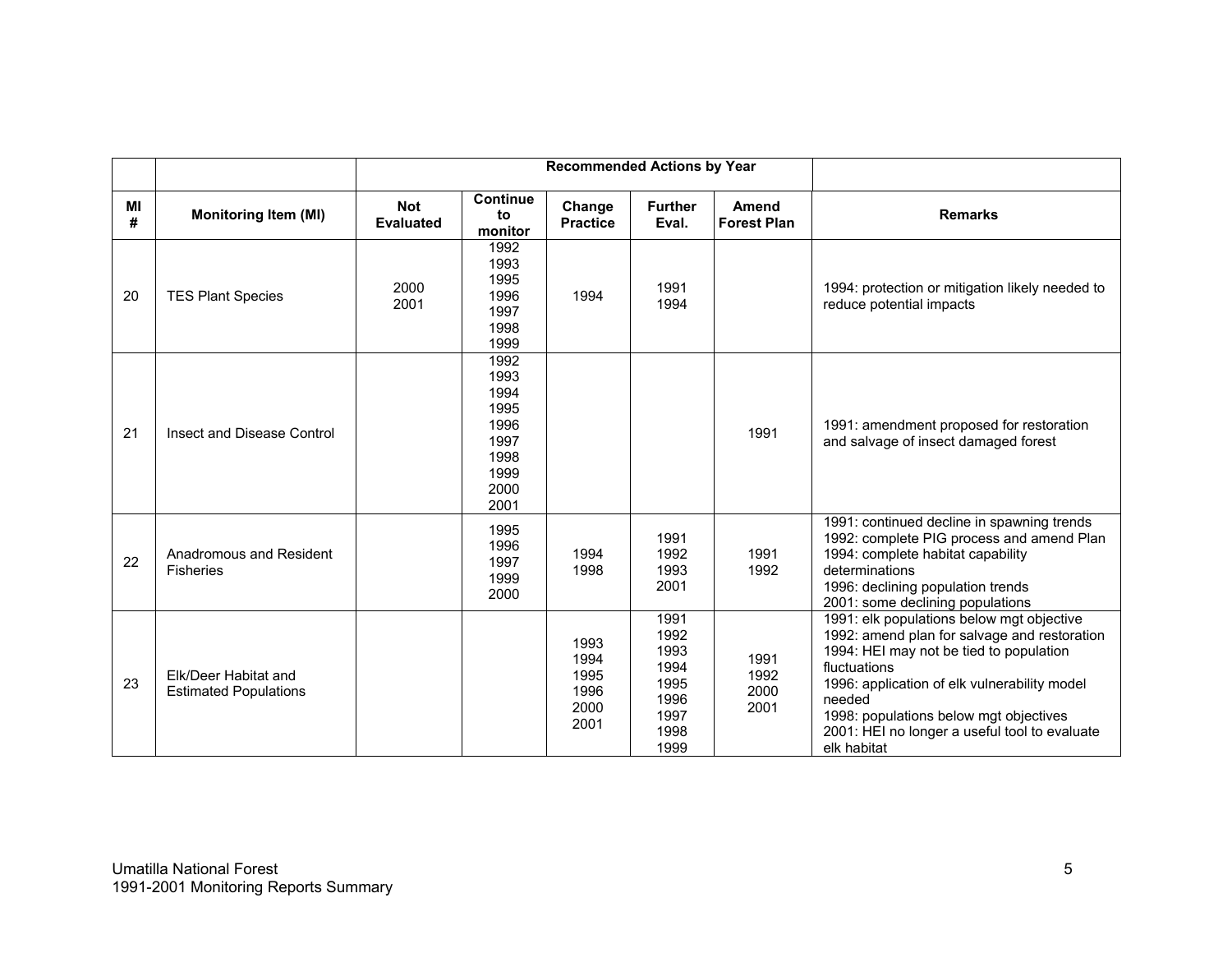|         |                                                      |                                |                                                                              | <b>Recommended Actions by Year</b>           |                                                                      |                              |                                                                                                                                                                                                                                                                                                                          |
|---------|------------------------------------------------------|--------------------------------|------------------------------------------------------------------------------|----------------------------------------------|----------------------------------------------------------------------|------------------------------|--------------------------------------------------------------------------------------------------------------------------------------------------------------------------------------------------------------------------------------------------------------------------------------------------------------------------|
| МI<br># | <b>Monitoring Item (MI)</b>                          | <b>Not</b><br><b>Evaluated</b> | <b>Continue</b><br>to<br>monitor                                             | Change<br><b>Practice</b>                    | <b>Further</b><br>Eval.                                              | Amend<br><b>Forest Plan</b>  | <b>Remarks</b>                                                                                                                                                                                                                                                                                                           |
| 20      | <b>TES Plant Species</b>                             | 2000<br>2001                   | 1992<br>1993<br>1995<br>1996<br>1997<br>1998<br>1999                         | 1994                                         | 1991<br>1994                                                         |                              | 1994: protection or mitigation likely needed to<br>reduce potential impacts                                                                                                                                                                                                                                              |
| 21      | Insect and Disease Control                           |                                | 1992<br>1993<br>1994<br>1995<br>1996<br>1997<br>1998<br>1999<br>2000<br>2001 |                                              |                                                                      | 1991                         | 1991: amendment proposed for restoration<br>and salvage of insect damaged forest                                                                                                                                                                                                                                         |
| 22      | Anadromous and Resident<br><b>Fisheries</b>          |                                | 1995<br>1996<br>1997<br>1999<br>2000                                         | 1994<br>1998                                 | 1991<br>1992<br>1993<br>2001                                         | 1991<br>1992                 | 1991: continued decline in spawning trends<br>1992: complete PIG process and amend Plan<br>1994: complete habitat capability<br>determinations<br>1996: declining population trends<br>2001: some declining populations                                                                                                  |
| 23      | Elk/Deer Habitat and<br><b>Estimated Populations</b> |                                |                                                                              | 1993<br>1994<br>1995<br>1996<br>2000<br>2001 | 1991<br>1992<br>1993<br>1994<br>1995<br>1996<br>1997<br>1998<br>1999 | 1991<br>1992<br>2000<br>2001 | 1991: elk populations below mgt objective<br>1992: amend plan for salvage and restoration<br>1994: HEI may not be tied to population<br>fluctuations<br>1996: application of elk vulnerability model<br>needed<br>1998: populations below mgt objectives<br>2001: HEI no longer a useful tool to evaluate<br>elk habitat |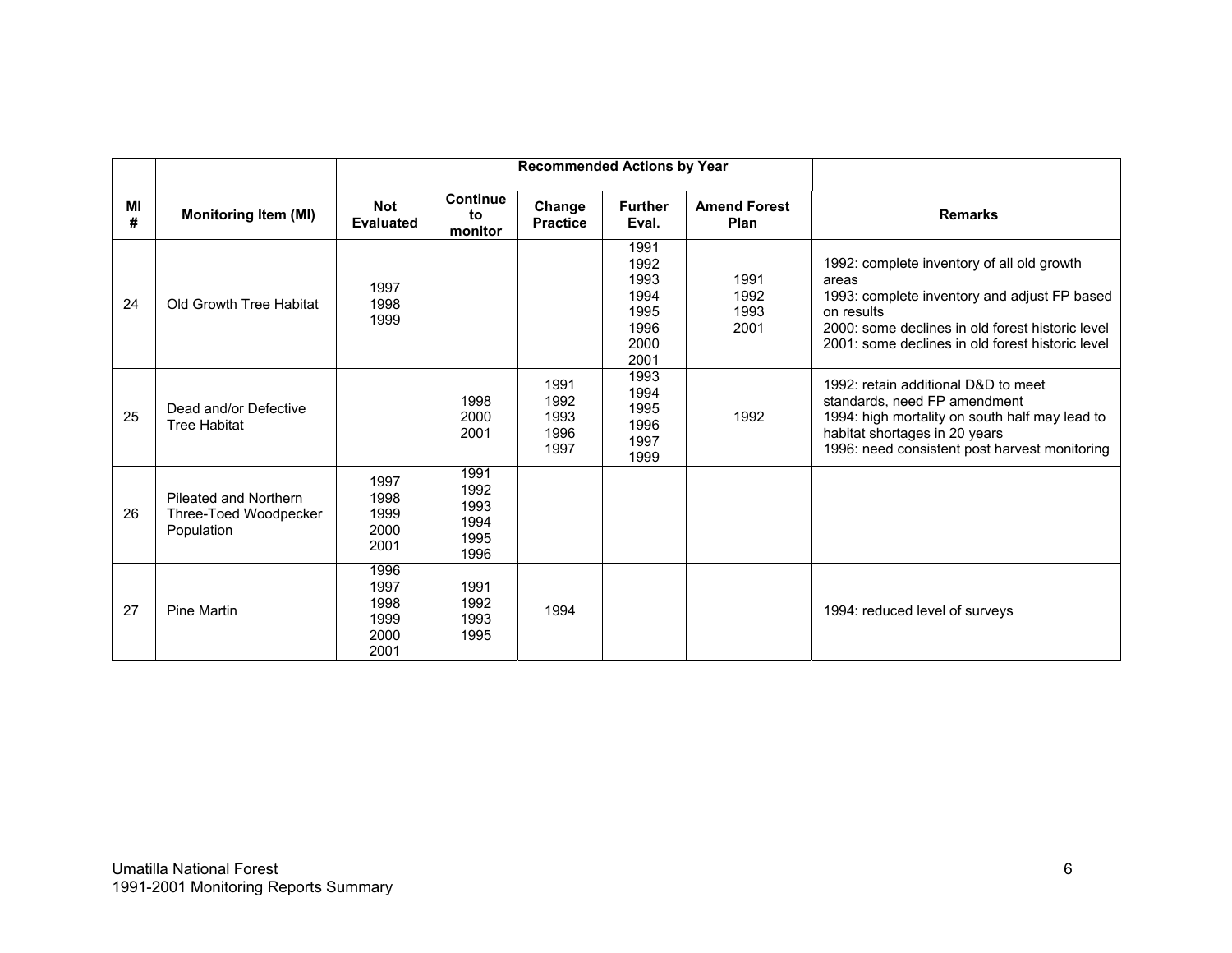|         |                                                              |                                              |                                              | <b>Recommended Actions by Year</b>   |                                                              |                              |                                                                                                                                                                                                                           |
|---------|--------------------------------------------------------------|----------------------------------------------|----------------------------------------------|--------------------------------------|--------------------------------------------------------------|------------------------------|---------------------------------------------------------------------------------------------------------------------------------------------------------------------------------------------------------------------------|
| MI<br># | <b>Monitoring Item (MI)</b>                                  | <b>Not</b><br><b>Evaluated</b>               | <b>Continue</b><br>to<br>monitor             | Change<br><b>Practice</b>            | <b>Further</b><br>Eval.                                      | <b>Amend Forest</b><br>Plan  | <b>Remarks</b>                                                                                                                                                                                                            |
| 24      | Old Growth Tree Habitat                                      | 1997<br>1998<br>1999                         |                                              |                                      | 1991<br>1992<br>1993<br>1994<br>1995<br>1996<br>2000<br>2001 | 1991<br>1992<br>1993<br>2001 | 1992: complete inventory of all old growth<br>areas<br>1993: complete inventory and adjust FP based<br>on results<br>2000: some declines in old forest historic level<br>2001: some declines in old forest historic level |
| 25      | Dead and/or Defective<br><b>Tree Habitat</b>                 |                                              | 1998<br>2000<br>2001                         | 1991<br>1992<br>1993<br>1996<br>1997 | 1993<br>1994<br>1995<br>1996<br>1997<br>1999                 | 1992                         | 1992: retain additional D&D to meet<br>standards, need FP amendment<br>1994: high mortality on south half may lead to<br>habitat shortages in 20 years<br>1996: need consistent post harvest monitoring                   |
| 26      | Pileated and Northern<br>Three-Toed Woodpecker<br>Population | 1997<br>1998<br>1999<br>2000<br>2001         | 1991<br>1992<br>1993<br>1994<br>1995<br>1996 |                                      |                                                              |                              |                                                                                                                                                                                                                           |
| 27      | <b>Pine Martin</b>                                           | 1996<br>1997<br>1998<br>1999<br>2000<br>2001 | 1991<br>1992<br>1993<br>1995                 | 1994                                 |                                                              |                              | 1994: reduced level of surveys                                                                                                                                                                                            |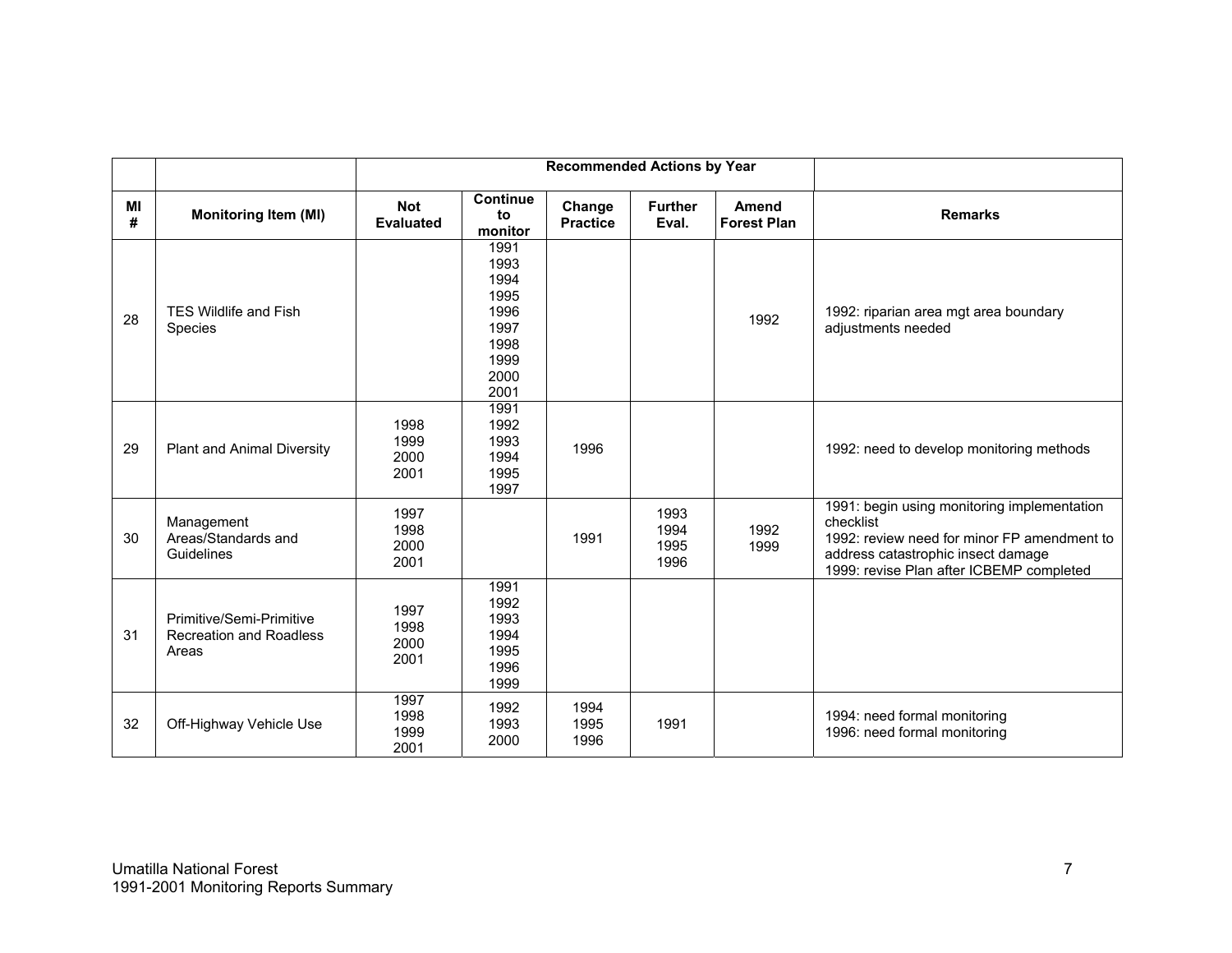|         |                                                                     | <b>Recommended Actions by Year</b> |                                                                              |                           |                              |                                    |                                                                                                                                                                                           |  |  |  |
|---------|---------------------------------------------------------------------|------------------------------------|------------------------------------------------------------------------------|---------------------------|------------------------------|------------------------------------|-------------------------------------------------------------------------------------------------------------------------------------------------------------------------------------------|--|--|--|
| МI<br># | <b>Monitoring Item (MI)</b>                                         | <b>Not</b><br><b>Evaluated</b>     | <b>Continue</b><br>to<br>monitor                                             | Change<br><b>Practice</b> | <b>Further</b><br>Eval.      | <b>Amend</b><br><b>Forest Plan</b> | <b>Remarks</b>                                                                                                                                                                            |  |  |  |
| 28      | <b>TES Wildlife and Fish</b><br>Species                             |                                    | 1991<br>1993<br>1994<br>1995<br>1996<br>1997<br>1998<br>1999<br>2000<br>2001 |                           |                              | 1992                               | 1992: riparian area mgt area boundary<br>adjustments needed                                                                                                                               |  |  |  |
| 29      | <b>Plant and Animal Diversity</b>                                   | 1998<br>1999<br>2000<br>2001       | 1991<br>1992<br>1993<br>1994<br>1995<br>1997                                 | 1996                      |                              |                                    | 1992: need to develop monitoring methods                                                                                                                                                  |  |  |  |
| 30      | Management<br>Areas/Standards and<br>Guidelines                     | 1997<br>1998<br>2000<br>2001       |                                                                              | 1991                      | 1993<br>1994<br>1995<br>1996 | 1992<br>1999                       | 1991: begin using monitoring implementation<br>checklist<br>1992: review need for minor FP amendment to<br>address catastrophic insect damage<br>1999: revise Plan after ICBEMP completed |  |  |  |
| 31      | Primitive/Semi-Primitive<br><b>Recreation and Roadless</b><br>Areas | 1997<br>1998<br>2000<br>2001       | 1991<br>1992<br>1993<br>1994<br>1995<br>1996<br>1999                         |                           |                              |                                    |                                                                                                                                                                                           |  |  |  |
| 32      | Off-Highway Vehicle Use                                             | 1997<br>1998<br>1999<br>2001       | 1992<br>1993<br>2000                                                         | 1994<br>1995<br>1996      | 1991                         |                                    | 1994: need formal monitoring<br>1996: need formal monitoring                                                                                                                              |  |  |  |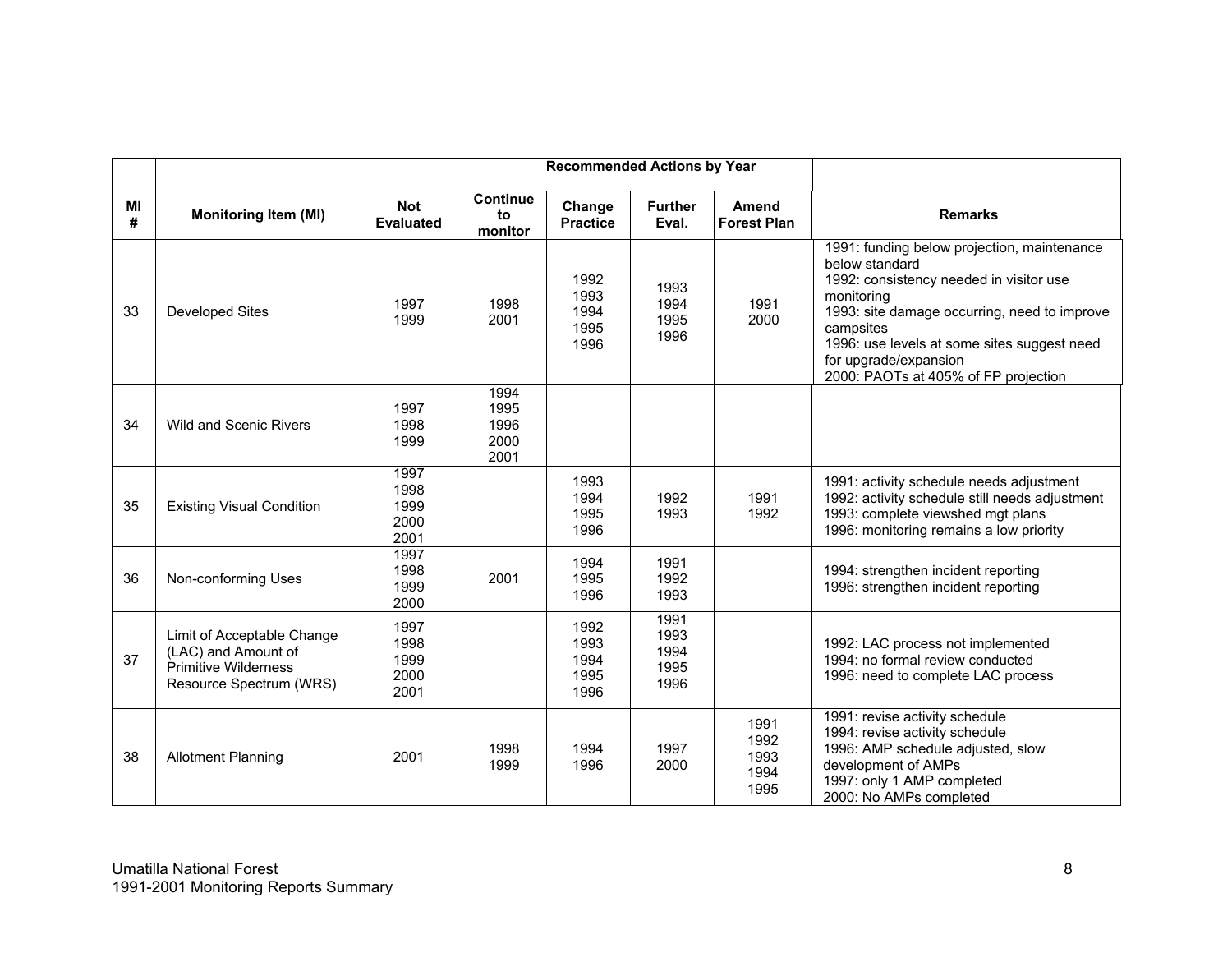|         |                                                                                                             |                                      |                                      | <b>Recommended Actions by Year</b>   |                                      |                                      |                                                                                                                                                                                                                                                                                                     |
|---------|-------------------------------------------------------------------------------------------------------------|--------------------------------------|--------------------------------------|--------------------------------------|--------------------------------------|--------------------------------------|-----------------------------------------------------------------------------------------------------------------------------------------------------------------------------------------------------------------------------------------------------------------------------------------------------|
| MI<br># | <b>Monitoring Item (MI)</b>                                                                                 | <b>Not</b><br><b>Evaluated</b>       | <b>Continue</b><br>to<br>monitor     | Change<br><b>Practice</b>            | <b>Further</b><br>Eval.              | <b>Amend</b><br><b>Forest Plan</b>   | <b>Remarks</b>                                                                                                                                                                                                                                                                                      |
| 33      | <b>Developed Sites</b>                                                                                      | 1997<br>1999                         | 1998<br>2001                         | 1992<br>1993<br>1994<br>1995<br>1996 | 1993<br>1994<br>1995<br>1996         | 1991<br>2000                         | 1991: funding below projection, maintenance<br>below standard<br>1992: consistency needed in visitor use<br>monitoring<br>1993: site damage occurring, need to improve<br>campsites<br>1996: use levels at some sites suggest need<br>for upgrade/expansion<br>2000: PAOTs at 405% of FP projection |
| 34      | <b>Wild and Scenic Rivers</b>                                                                               | 1997<br>1998<br>1999                 | 1994<br>1995<br>1996<br>2000<br>2001 |                                      |                                      |                                      |                                                                                                                                                                                                                                                                                                     |
| 35      | <b>Existing Visual Condition</b>                                                                            | 1997<br>1998<br>1999<br>2000<br>2001 |                                      | 1993<br>1994<br>1995<br>1996         | 1992<br>1993                         | 1991<br>1992                         | 1991: activity schedule needs adjustment<br>1992: activity schedule still needs adjustment<br>1993: complete viewshed mgt plans<br>1996: monitoring remains a low priority                                                                                                                          |
| 36      | Non-conforming Uses                                                                                         | 1997<br>1998<br>1999<br>2000         | 2001                                 | 1994<br>1995<br>1996                 | 1991<br>1992<br>1993                 |                                      | 1994: strengthen incident reporting<br>1996: strengthen incident reporting                                                                                                                                                                                                                          |
| 37      | Limit of Acceptable Change<br>(LAC) and Amount of<br><b>Primitive Wilderness</b><br>Resource Spectrum (WRS) | 1997<br>1998<br>1999<br>2000<br>2001 |                                      | 1992<br>1993<br>1994<br>1995<br>1996 | 1991<br>1993<br>1994<br>1995<br>1996 |                                      | 1992: LAC process not implemented<br>1994: no formal review conducted<br>1996: need to complete LAC process                                                                                                                                                                                         |
| 38      | <b>Allotment Planning</b>                                                                                   | 2001                                 | 1998<br>1999                         | 1994<br>1996                         | 1997<br>2000                         | 1991<br>1992<br>1993<br>1994<br>1995 | 1991: revise activity schedule<br>1994: revise activity schedule<br>1996: AMP schedule adjusted, slow<br>development of AMPs<br>1997: only 1 AMP completed<br>2000: No AMPs completed                                                                                                               |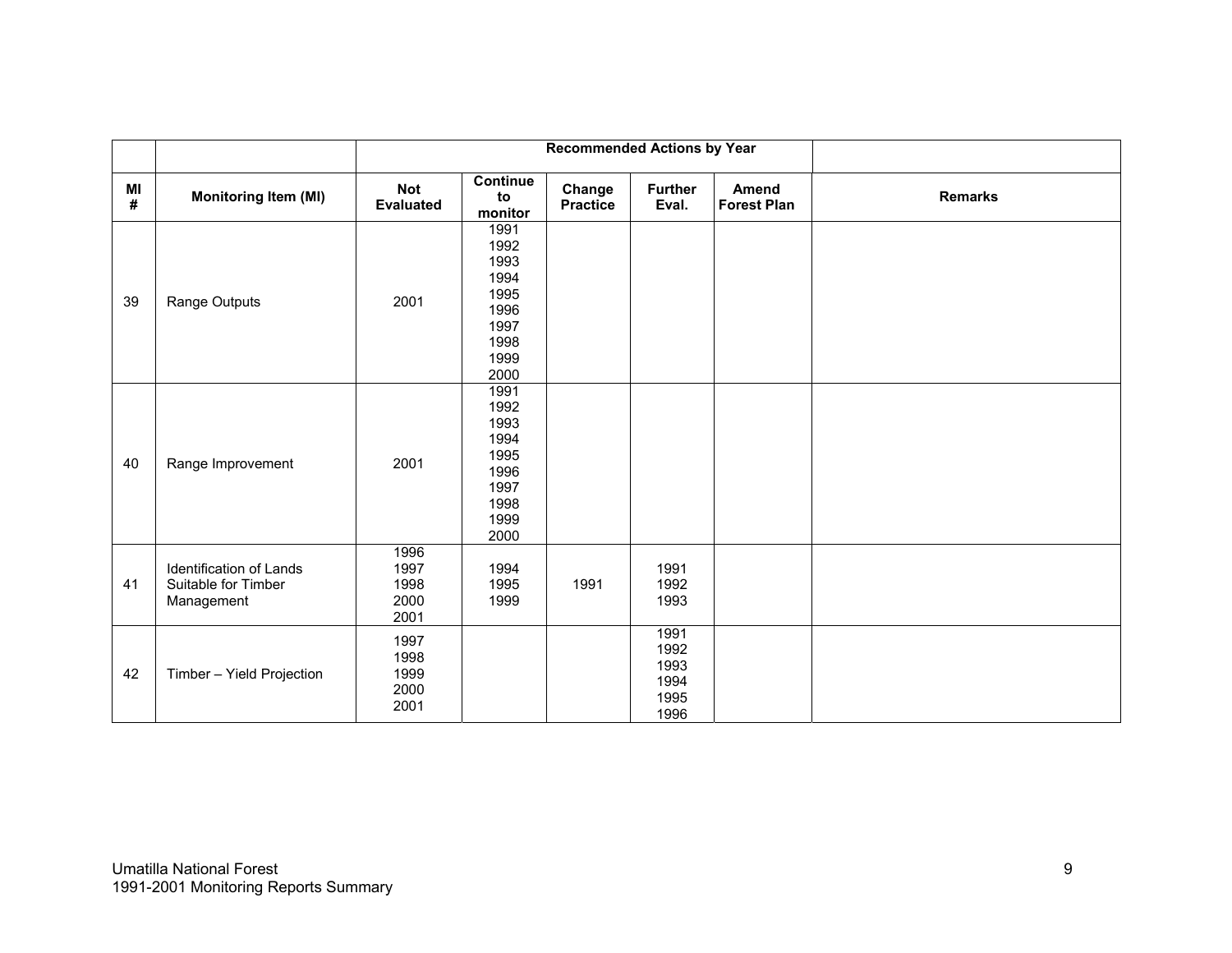|                  |                                                              |                                      | <b>Recommended Actions by Year</b>                                           |                           |                                              |                             |                |
|------------------|--------------------------------------------------------------|--------------------------------------|------------------------------------------------------------------------------|---------------------------|----------------------------------------------|-----------------------------|----------------|
| MI<br>$\pmb{\#}$ | <b>Monitoring Item (MI)</b>                                  | <b>Not</b><br><b>Evaluated</b>       | <b>Continue</b><br>to<br>monitor                                             | Change<br><b>Practice</b> | <b>Further</b><br>Eval.                      | Amend<br><b>Forest Plan</b> | <b>Remarks</b> |
| 39               | Range Outputs                                                | 2001                                 | 1991<br>1992<br>1993<br>1994<br>1995<br>1996<br>1997<br>1998<br>1999<br>2000 |                           |                                              |                             |                |
| 40               | Range Improvement                                            | 2001                                 | 1991<br>1992<br>1993<br>1994<br>1995<br>1996<br>1997<br>1998<br>1999<br>2000 |                           |                                              |                             |                |
| 41               | Identification of Lands<br>Suitable for Timber<br>Management | 1996<br>1997<br>1998<br>2000<br>2001 | 1994<br>1995<br>1999                                                         | 1991                      | 1991<br>1992<br>1993                         |                             |                |
| 42               | Timber - Yield Projection                                    | 1997<br>1998<br>1999<br>2000<br>2001 |                                                                              |                           | 1991<br>1992<br>1993<br>1994<br>1995<br>1996 |                             |                |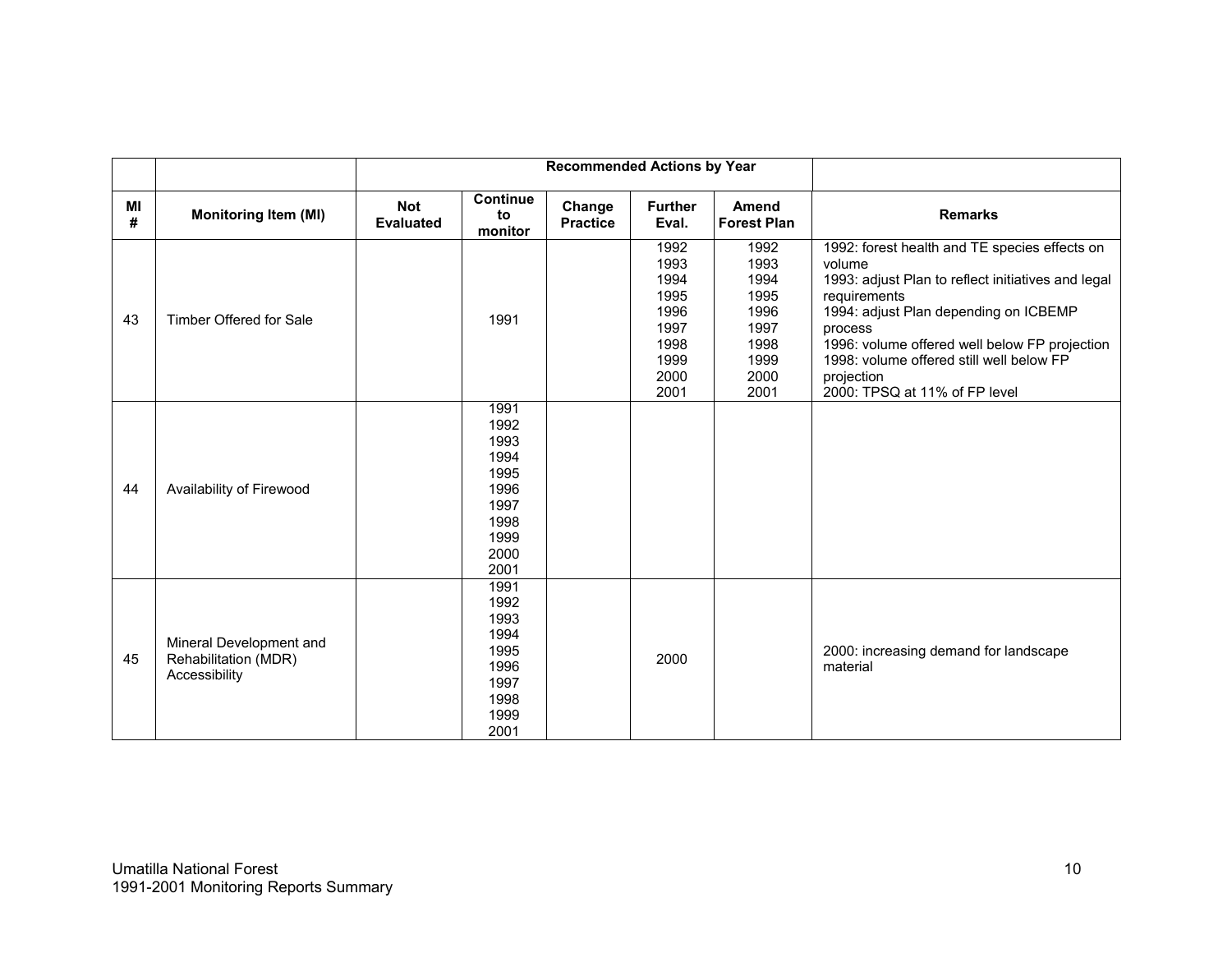|         |                                                                  | <b>Recommended Actions by Year</b> |                                                                                      |                           |                                                                              |                                                                              |                                                                                                                                                                                                                                                                                                                               |  |  |
|---------|------------------------------------------------------------------|------------------------------------|--------------------------------------------------------------------------------------|---------------------------|------------------------------------------------------------------------------|------------------------------------------------------------------------------|-------------------------------------------------------------------------------------------------------------------------------------------------------------------------------------------------------------------------------------------------------------------------------------------------------------------------------|--|--|
| MI<br># | <b>Monitoring Item (MI)</b>                                      | <b>Not</b><br><b>Evaluated</b>     | <b>Continue</b><br>to<br>monitor                                                     | Change<br><b>Practice</b> | <b>Further</b><br>Eval.                                                      | <b>Amend</b><br><b>Forest Plan</b>                                           | <b>Remarks</b>                                                                                                                                                                                                                                                                                                                |  |  |
| 43      | Timber Offered for Sale                                          |                                    | 1991                                                                                 |                           | 1992<br>1993<br>1994<br>1995<br>1996<br>1997<br>1998<br>1999<br>2000<br>2001 | 1992<br>1993<br>1994<br>1995<br>1996<br>1997<br>1998<br>1999<br>2000<br>2001 | 1992: forest health and TE species effects on<br>volume<br>1993: adjust Plan to reflect initiatives and legal<br>requirements<br>1994: adjust Plan depending on ICBEMP<br>process<br>1996: volume offered well below FP projection<br>1998: volume offered still well below FP<br>projection<br>2000: TPSQ at 11% of FP level |  |  |
| 44      | Availability of Firewood                                         |                                    | 1991<br>1992<br>1993<br>1994<br>1995<br>1996<br>1997<br>1998<br>1999<br>2000<br>2001 |                           |                                                                              |                                                                              |                                                                                                                                                                                                                                                                                                                               |  |  |
| 45      | Mineral Development and<br>Rehabilitation (MDR)<br>Accessibility |                                    | 1991<br>1992<br>1993<br>1994<br>1995<br>1996<br>1997<br>1998<br>1999<br>2001         |                           | 2000                                                                         |                                                                              | 2000: increasing demand for landscape<br>material                                                                                                                                                                                                                                                                             |  |  |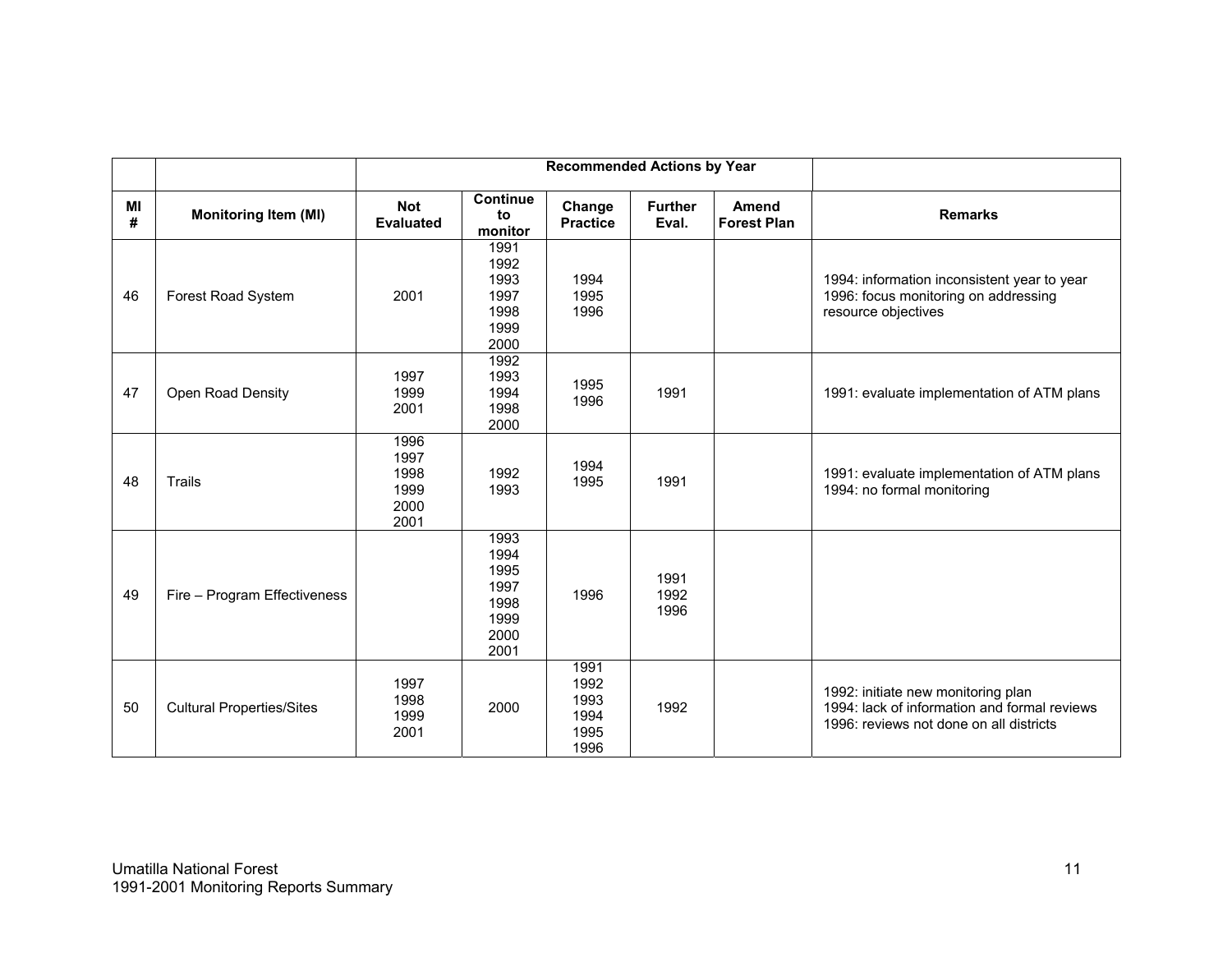|         |                                  |                                              |                                                              | <b>Recommended Actions by Year</b>           |                         |                                    |                                                                                                                               |
|---------|----------------------------------|----------------------------------------------|--------------------------------------------------------------|----------------------------------------------|-------------------------|------------------------------------|-------------------------------------------------------------------------------------------------------------------------------|
| MI<br># | <b>Monitoring Item (MI)</b>      | <b>Not</b><br><b>Evaluated</b>               | <b>Continue</b><br>to<br>monitor                             | Change<br><b>Practice</b>                    | <b>Further</b><br>Eval. | <b>Amend</b><br><b>Forest Plan</b> | <b>Remarks</b>                                                                                                                |
| 46      | Forest Road System               | 2001                                         | 1991<br>1992<br>1993<br>1997<br>1998<br>1999<br>2000         | 1994<br>1995<br>1996                         |                         |                                    | 1994: information inconsistent year to year<br>1996: focus monitoring on addressing<br>resource objectives                    |
| 47      | Open Road Density                | 1997<br>1999<br>2001                         | 1992<br>1993<br>1994<br>1998<br>2000                         | 1995<br>1996                                 | 1991                    |                                    | 1991: evaluate implementation of ATM plans                                                                                    |
| 48      | <b>Trails</b>                    | 1996<br>1997<br>1998<br>1999<br>2000<br>2001 | 1992<br>1993                                                 | 1994<br>1995                                 | 1991                    |                                    | 1991: evaluate implementation of ATM plans<br>1994: no formal monitoring                                                      |
| 49      | Fire - Program Effectiveness     |                                              | 1993<br>1994<br>1995<br>1997<br>1998<br>1999<br>2000<br>2001 | 1996                                         | 1991<br>1992<br>1996    |                                    |                                                                                                                               |
| 50      | <b>Cultural Properties/Sites</b> | 1997<br>1998<br>1999<br>2001                 | 2000                                                         | 1991<br>1992<br>1993<br>1994<br>1995<br>1996 | 1992                    |                                    | 1992: initiate new monitoring plan<br>1994: lack of information and formal reviews<br>1996: reviews not done on all districts |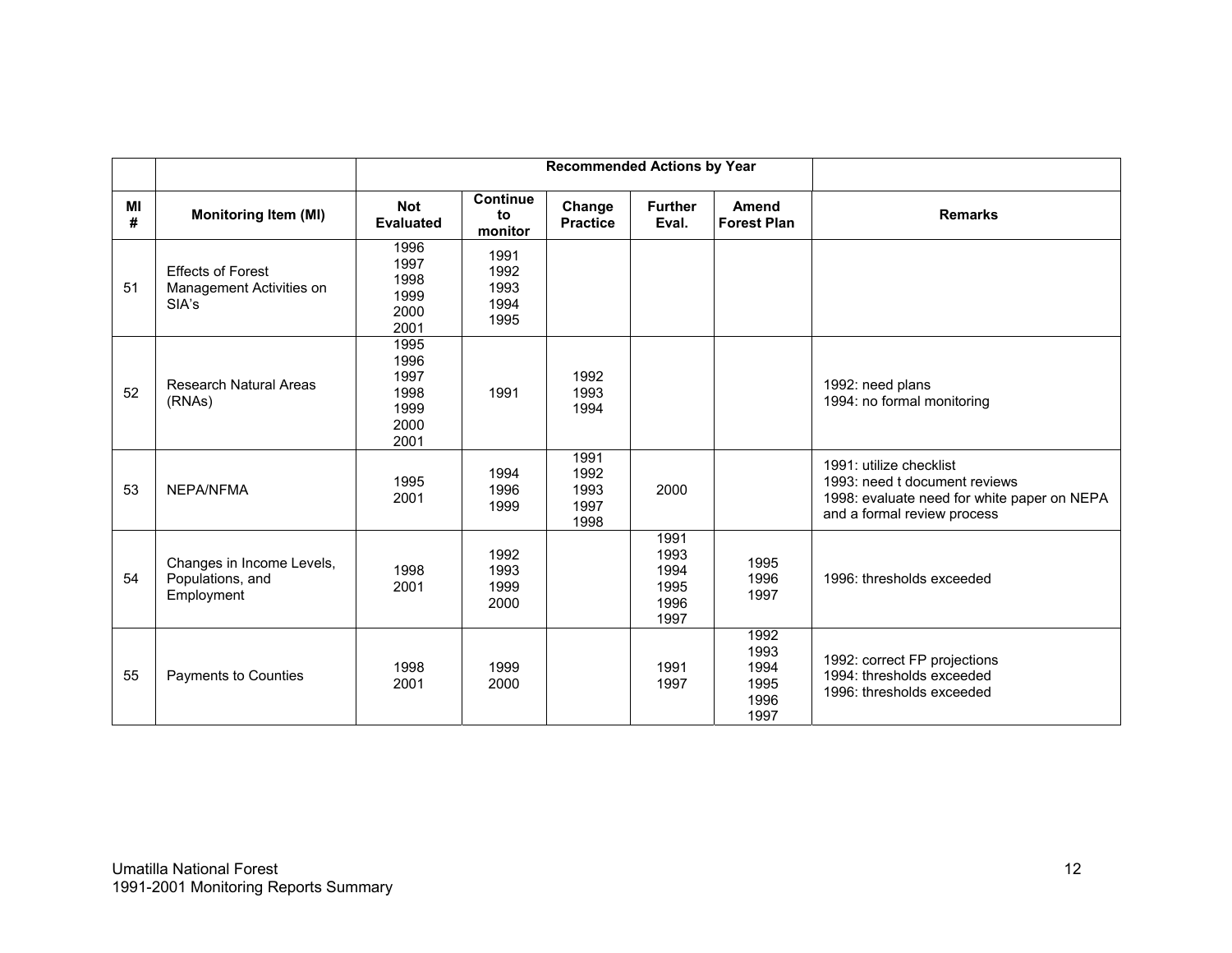|         |                                                               |                                                      |                                      | <b>Recommended Actions by Year</b>   |                                              |                                              |                                                                                                                                        |
|---------|---------------------------------------------------------------|------------------------------------------------------|--------------------------------------|--------------------------------------|----------------------------------------------|----------------------------------------------|----------------------------------------------------------------------------------------------------------------------------------------|
| MI<br># | <b>Monitoring Item (MI)</b>                                   | <b>Not</b><br><b>Evaluated</b>                       | <b>Continue</b><br>to<br>monitor     | Change<br><b>Practice</b>            | <b>Further</b><br>Eval.                      | <b>Amend</b><br><b>Forest Plan</b>           | <b>Remarks</b>                                                                                                                         |
| 51      | <b>Effects of Forest</b><br>Management Activities on<br>SIA's | 1996<br>1997<br>1998<br>1999<br>2000<br>2001         | 1991<br>1992<br>1993<br>1994<br>1995 |                                      |                                              |                                              |                                                                                                                                        |
| 52      | <b>Research Natural Areas</b><br>(RNAs)                       | 1995<br>1996<br>1997<br>1998<br>1999<br>2000<br>2001 | 1991                                 | 1992<br>1993<br>1994                 |                                              |                                              | 1992: need plans<br>1994: no formal monitoring                                                                                         |
| 53      | NEPA/NFMA                                                     | 1995<br>2001                                         | 1994<br>1996<br>1999                 | 1991<br>1992<br>1993<br>1997<br>1998 | 2000                                         |                                              | 1991: utilize checklist<br>1993: need t document reviews<br>1998: evaluate need for white paper on NEPA<br>and a formal review process |
| 54      | Changes in Income Levels,<br>Populations, and<br>Employment   | 1998<br>2001                                         | 1992<br>1993<br>1999<br>2000         |                                      | 1991<br>1993<br>1994<br>1995<br>1996<br>1997 | 1995<br>1996<br>1997                         | 1996: thresholds exceeded                                                                                                              |
| 55      | Payments to Counties                                          | 1998<br>2001                                         | 1999<br>2000                         |                                      | 1991<br>1997                                 | 1992<br>1993<br>1994<br>1995<br>1996<br>1997 | 1992: correct FP projections<br>1994: thresholds exceeded<br>1996: thresholds exceeded                                                 |